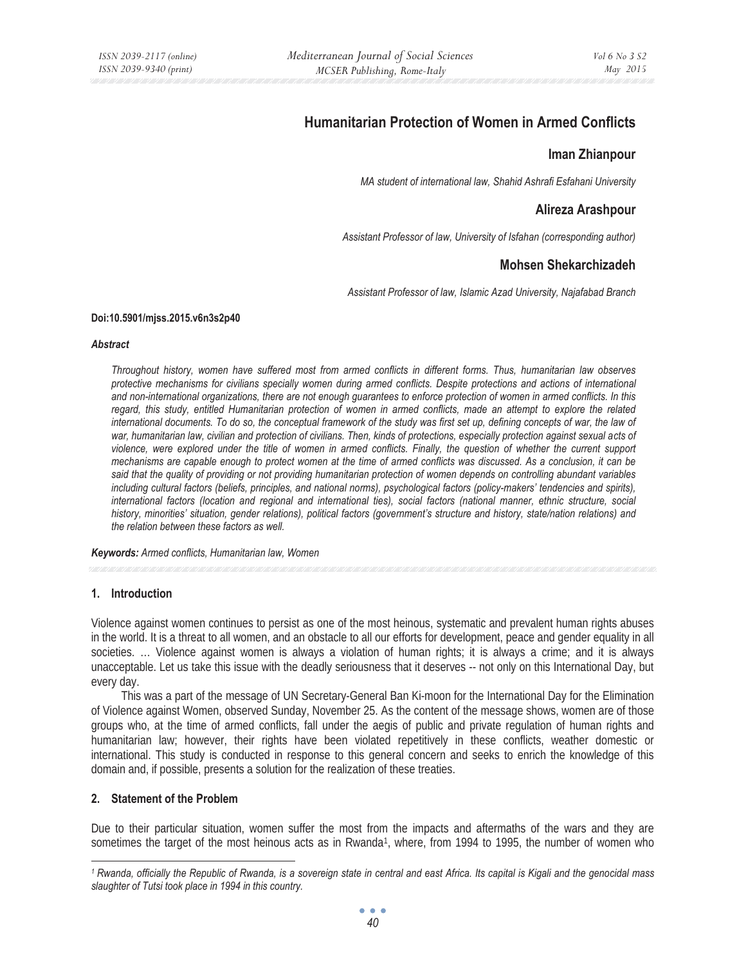# **Humanitarian Protection of Women in Armed Conflicts**

# **Iman Zhianpour**

*MA student of international law, Shahid Ashrafi Esfahani University* 

# **Alireza Arashpour**

*Assistant Professor of law, University of Isfahan (corresponding author)* 

# **Mohsen Shekarchizadeh**

*Assistant Professor of law, Islamic Azad University, Najafabad Branch* 

#### **Doi:10.5901/mjss.2015.v6n3s2p40**

#### *Abstract*

*Throughout history, women have suffered most from armed conflicts in different forms. Thus, humanitarian law observes protective mechanisms for civilians specially women during armed conflicts. Despite protections and actions of international and non-international organizations, there are not enough guarantees to enforce protection of women in armed conflicts. In this regard, this study, entitled Humanitarian protection of women in armed conflicts, made an attempt to explore the related international documents. To do so, the conceptual framework of the study was first set up, defining concepts of war, the law of* war, humanitarian law, civilian and protection of civilians. Then, kinds of protections, especially protection against sexual acts of *violence, were explored under the title of women in armed conflicts. Finally, the question of whether the current support mechanisms are capable enough to protect women at the time of armed conflicts was discussed. As a conclusion, it can be said that the quality of providing or not providing humanitarian protection of women depends on controlling abundant variables including cultural factors (beliefs, principles, and national norms), psychological factors (policy-makers' tendencies and spirits), international factors (location and regional and international ties), social factors (national manner, ethnic structure, social history, minorities' situation, gender relations), political factors (government's structure and history, state/nation relations) and the relation between these factors as well.* 

*Keywords: Armed conflicts, Humanitarian law, Women* 

## **1. Introduction**

Violence against women continues to persist as one of the most heinous, systematic and prevalent human rights abuses in the world. It is a threat to all women, and an obstacle to all our efforts for development, peace and gender equality in all societies. ... Violence against women is always a violation of human rights; it is always a crime; and it is always unacceptable. Let us take this issue with the deadly seriousness that it deserves -- not only on this International Day, but every day.

This was a part of the message of UN Secretary-General Ban Ki-moon for the International Day for the Elimination of Violence against Women, observed Sunday, November 25. As the content of the message shows, women are of those groups who, at the time of armed conflicts, fall under the aegis of public and private regulation of human rights and humanitarian law; however, their rights have been violated repetitively in these conflicts, weather domestic or international. This study is conducted in response to this general concern and seeks to enrich the knowledge of this domain and, if possible, presents a solution for the realization of these treaties.

## **2. Statement of the Problem**

Due to their particular situation, women suffer the most from the impacts and aftermaths of the wars and they are sometimes the target of the most heinous acts as in Rwanda<sup>1</sup>, where, from 1994 to 1995, the number of women who

*<sup>1</sup> Rwanda, officially the Republic of Rwanda, is a sovereign state in central and east Africa. Its capital is Kigali and the genocidal mass slaughter of Tutsi took place in 1994 in this country.*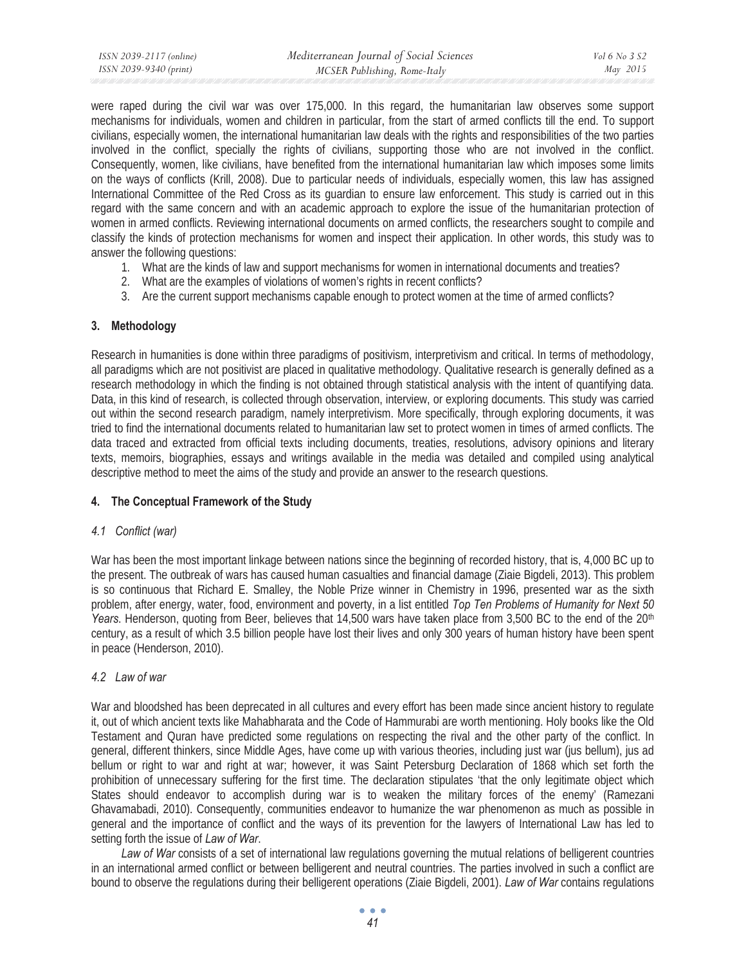were raped during the civil war was over 175,000. In this regard, the humanitarian law observes some support mechanisms for individuals, women and children in particular, from the start of armed conflicts till the end. To support civilians, especially women, the international humanitarian law deals with the rights and responsibilities of the two parties involved in the conflict, specially the rights of civilians, supporting those who are not involved in the conflict. Consequently, women, like civilians, have benefited from the international humanitarian law which imposes some limits on the ways of conflicts (Krill, 2008). Due to particular needs of individuals, especially women, this law has assigned International Committee of the Red Cross as its guardian to ensure law enforcement. This study is carried out in this regard with the same concern and with an academic approach to explore the issue of the humanitarian protection of women in armed conflicts. Reviewing international documents on armed conflicts, the researchers sought to compile and classify the kinds of protection mechanisms for women and inspect their application. In other words, this study was to answer the following questions:

- 1. What are the kinds of law and support mechanisms for women in international documents and treaties?
- 2. What are the examples of violations of women's rights in recent conflicts?
- 3. Are the current support mechanisms capable enough to protect women at the time of armed conflicts?

## **3. Methodology**

Research in humanities is done within three paradigms of positivism, interpretivism and critical. In terms of methodology, all paradigms which are not positivist are placed in qualitative methodology. Qualitative research is generally defined as a research methodology in which the finding is not obtained through statistical analysis with the intent of quantifying data. Data, in this kind of research, is collected through observation, interview, or exploring documents. This study was carried out within the second research paradigm, namely interpretivism. More specifically, through exploring documents, it was tried to find the international documents related to humanitarian law set to protect women in times of armed conflicts. The data traced and extracted from official texts including documents, treaties, resolutions, advisory opinions and literary texts, memoirs, biographies, essays and writings available in the media was detailed and compiled using analytical descriptive method to meet the aims of the study and provide an answer to the research questions.

# **4. The Conceptual Framework of the Study**

## *4.1 Conflict (war)*

War has been the most important linkage between nations since the beginning of recorded history, that is, 4,000 BC up to the present. The outbreak of wars has caused human casualties and financial damage (Ziaie Bigdeli, 2013). This problem is so continuous that Richard E. Smalley, the Noble Prize winner in Chemistry in 1996, presented war as the sixth problem, after energy, water, food, environment and poverty, in a list entitled *Top Ten Problems of Humanity for Next 50*  Years. Henderson, quoting from Beer, believes that 14,500 wars have taken place from 3,500 BC to the end of the 20<sup>th</sup> century, as a result of which 3.5 billion people have lost their lives and only 300 years of human history have been spent in peace (Henderson, 2010).

# *4.2 Law of war*

War and bloodshed has been deprecated in all cultures and every effort has been made since ancient history to regulate it, out of which ancient texts like Mahabharata and the Code of Hammurabi are worth mentioning. Holy books like the Old Testament and Quran have predicted some regulations on respecting the rival and the other party of the conflict. In general, different thinkers, since Middle Ages, have come up with various theories, including just war (jus bellum), jus ad bellum or right to war and right at war; however, it was Saint Petersburg Declaration of 1868 which set forth the prohibition of unnecessary suffering for the first time. The declaration stipulates 'that the only legitimate object which States should endeavor to accomplish during war is to weaken the military forces of the enemy' (Ramezani Ghavamabadi, 2010). Consequently, communities endeavor to humanize the war phenomenon as much as possible in general and the importance of conflict and the ways of its prevention for the lawyers of International Law has led to setting forth the issue of *Law of War*.

*Law of War* consists of a set of international law regulations governing the mutual relations of belligerent countries in an international armed conflict or between belligerent and neutral countries. The parties involved in such a conflict are bound to observe the regulations during their belligerent operations (Ziaie Bigdeli, 2001). *Law of War* contains regulations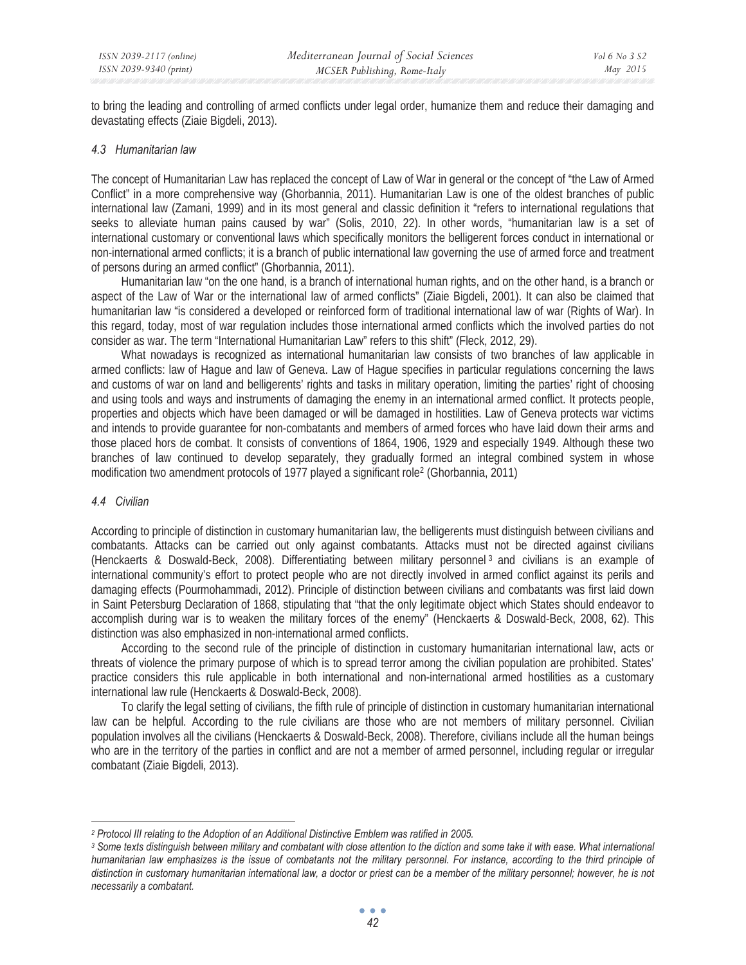to bring the leading and controlling of armed conflicts under legal order, humanize them and reduce their damaging and devastating effects (Ziaie Bigdeli, 2013).

#### *4.3 Humanitarian law*

The concept of Humanitarian Law has replaced the concept of Law of War in general or the concept of "the Law of Armed Conflict" in a more comprehensive way (Ghorbannia, 2011). Humanitarian Law is one of the oldest branches of public international law (Zamani, 1999) and in its most general and classic definition it "refers to international regulations that seeks to alleviate human pains caused by war" (Solis, 2010, 22). In other words, "humanitarian law is a set of international customary or conventional laws which specifically monitors the belligerent forces conduct in international or non-international armed conflicts; it is a branch of public international law governing the use of armed force and treatment of persons during an armed conflict" (Ghorbannia, 2011).

Humanitarian law "on the one hand, is a branch of international human rights, and on the other hand, is a branch or aspect of the Law of War or the international law of armed conflicts" (Ziaie Bigdeli, 2001). It can also be claimed that humanitarian law "is considered a developed or reinforced form of traditional international law of war (Rights of War). In this regard, today, most of war regulation includes those international armed conflicts which the involved parties do not consider as war. The term "International Humanitarian Law" refers to this shift" (Fleck, 2012, 29).

What nowadays is recognized as international humanitarian law consists of two branches of law applicable in armed conflicts: law of Hague and law of Geneva. Law of Hague specifies in particular regulations concerning the laws and customs of war on land and belligerents' rights and tasks in military operation, limiting the parties' right of choosing and using tools and ways and instruments of damaging the enemy in an international armed conflict. It protects people, properties and objects which have been damaged or will be damaged in hostilities. Law of Geneva protects war victims and intends to provide guarantee for non-combatants and members of armed forces who have laid down their arms and those placed hors de combat. It consists of conventions of 1864, 1906, 1929 and especially 1949. Although these two branches of law continued to develop separately, they gradually formed an integral combined system in whose modification two amendment protocols of 1977 played a significant role2 (Ghorbannia, 2011)

## *4.4 Civilian*

According to principle of distinction in customary humanitarian law, the belligerents must distinguish between civilians and combatants. Attacks can be carried out only against combatants. Attacks must not be directed against civilians (Henckaerts & Doswald-Beck, 2008). Differentiating between military personnel 3 and civilians is an example of international community's effort to protect people who are not directly involved in armed conflict against its perils and damaging effects (Pourmohammadi, 2012). Principle of distinction between civilians and combatants was first laid down in Saint Petersburg Declaration of 1868, stipulating that "that the only legitimate object which States should endeavor to accomplish during war is to weaken the military forces of the enemy" (Henckaerts & Doswald-Beck, 2008, 62). This distinction was also emphasized in non-international armed conflicts.

According to the second rule of the principle of distinction in customary humanitarian international law, acts or threats of violence the primary purpose of which is to spread terror among the civilian population are prohibited. States' practice considers this rule applicable in both international and non-international armed hostilities as a customary international law rule (Henckaerts & Doswald-Beck, 2008).

To clarify the legal setting of civilians, the fifth rule of principle of distinction in customary humanitarian international law can be helpful. According to the rule civilians are those who are not members of military personnel. Civilian population involves all the civilians (Henckaerts & Doswald-Beck, 2008). Therefore, civilians include all the human beings who are in the territory of the parties in conflict and are not a member of armed personnel, including regular or irregular combatant (Ziaie Bigdeli, 2013).

<sup>&</sup>lt;sup>2</sup> Protocol III relating to the Adoption of an Additional Distinctive Emblem was ratified in 2005.<br><sup>3</sup> Some texts distinguish between military and combatant with close attention to the diction and some take it with ease. *humanitarian law emphasizes is the issue of combatants not the military personnel. For instance, according to the third principle of distinction in customary humanitarian international law, a doctor or priest can be a member of the military personnel; however, he is not necessarily a combatant.*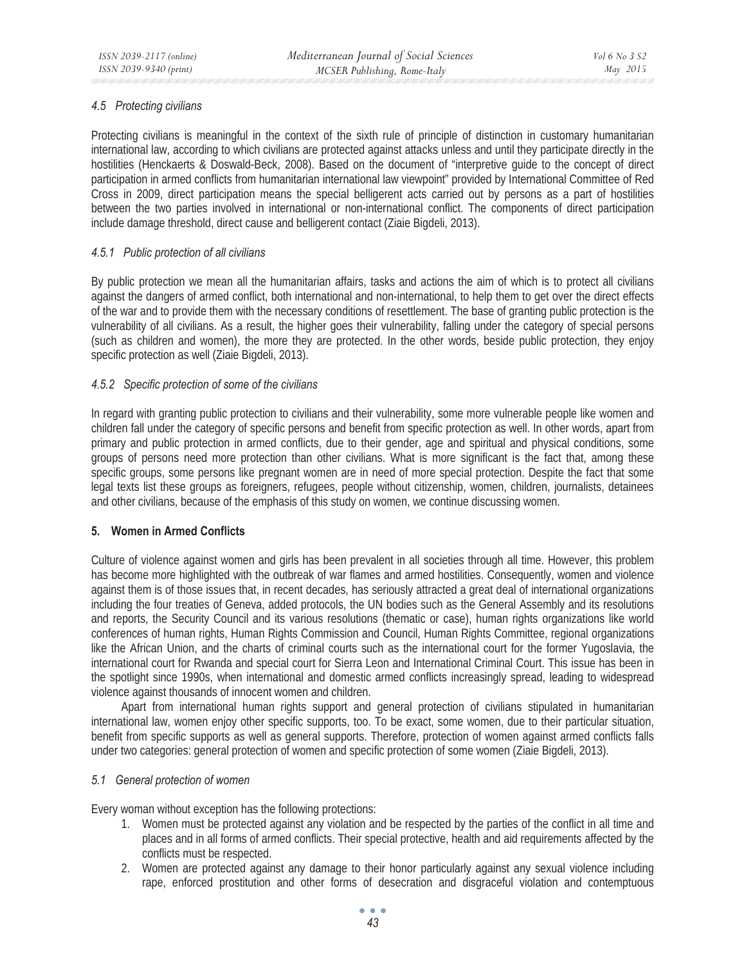# *4.5 Protecting civilians*

Protecting civilians is meaningful in the context of the sixth rule of principle of distinction in customary humanitarian international law, according to which civilians are protected against attacks unless and until they participate directly in the hostilities (Henckaerts & Doswald-Beck, 2008). Based on the document of "interpretive guide to the concept of direct participation in armed conflicts from humanitarian international law viewpoint" provided by International Committee of Red Cross in 2009, direct participation means the special belligerent acts carried out by persons as a part of hostilities between the two parties involved in international or non-international conflict. The components of direct participation include damage threshold, direct cause and belligerent contact (Ziaie Bigdeli, 2013).

## *4.5.1 Public protection of all civilians*

By public protection we mean all the humanitarian affairs, tasks and actions the aim of which is to protect all civilians against the dangers of armed conflict, both international and non-international, to help them to get over the direct effects of the war and to provide them with the necessary conditions of resettlement. The base of granting public protection is the vulnerability of all civilians. As a result, the higher goes their vulnerability, falling under the category of special persons (such as children and women), the more they are protected. In the other words, beside public protection, they enjoy specific protection as well (Ziaie Bigdeli, 2013).

## *4.5.2 Specific protection of some of the civilians*

In regard with granting public protection to civilians and their vulnerability, some more vulnerable people like women and children fall under the category of specific persons and benefit from specific protection as well. In other words, apart from primary and public protection in armed conflicts, due to their gender, age and spiritual and physical conditions, some groups of persons need more protection than other civilians. What is more significant is the fact that, among these specific groups, some persons like pregnant women are in need of more special protection. Despite the fact that some legal texts list these groups as foreigners, refugees, people without citizenship, women, children, journalists, detainees and other civilians, because of the emphasis of this study on women, we continue discussing women.

## **5. Women in Armed Conflicts**

Culture of violence against women and girls has been prevalent in all societies through all time. However, this problem has become more highlighted with the outbreak of war flames and armed hostilities. Consequently, women and violence against them is of those issues that, in recent decades, has seriously attracted a great deal of international organizations including the four treaties of Geneva, added protocols, the UN bodies such as the General Assembly and its resolutions and reports, the Security Council and its various resolutions (thematic or case), human rights organizations like world conferences of human rights, Human Rights Commission and Council, Human Rights Committee, regional organizations like the African Union, and the charts of criminal courts such as the international court for the former Yugoslavia, the international court for Rwanda and special court for Sierra Leon and International Criminal Court. This issue has been in the spotlight since 1990s, when international and domestic armed conflicts increasingly spread, leading to widespread violence against thousands of innocent women and children.

Apart from international human rights support and general protection of civilians stipulated in humanitarian international law, women enjoy other specific supports, too. To be exact, some women, due to their particular situation, benefit from specific supports as well as general supports. Therefore, protection of women against armed conflicts falls under two categories: general protection of women and specific protection of some women (Ziaie Bigdeli, 2013).

## *5.1 General protection of women*

Every woman without exception has the following protections:

- 1. Women must be protected against any violation and be respected by the parties of the conflict in all time and places and in all forms of armed conflicts. Their special protective, health and aid requirements affected by the conflicts must be respected.
- 2. Women are protected against any damage to their honor particularly against any sexual violence including rape, enforced prostitution and other forms of desecration and disgraceful violation and contemptuous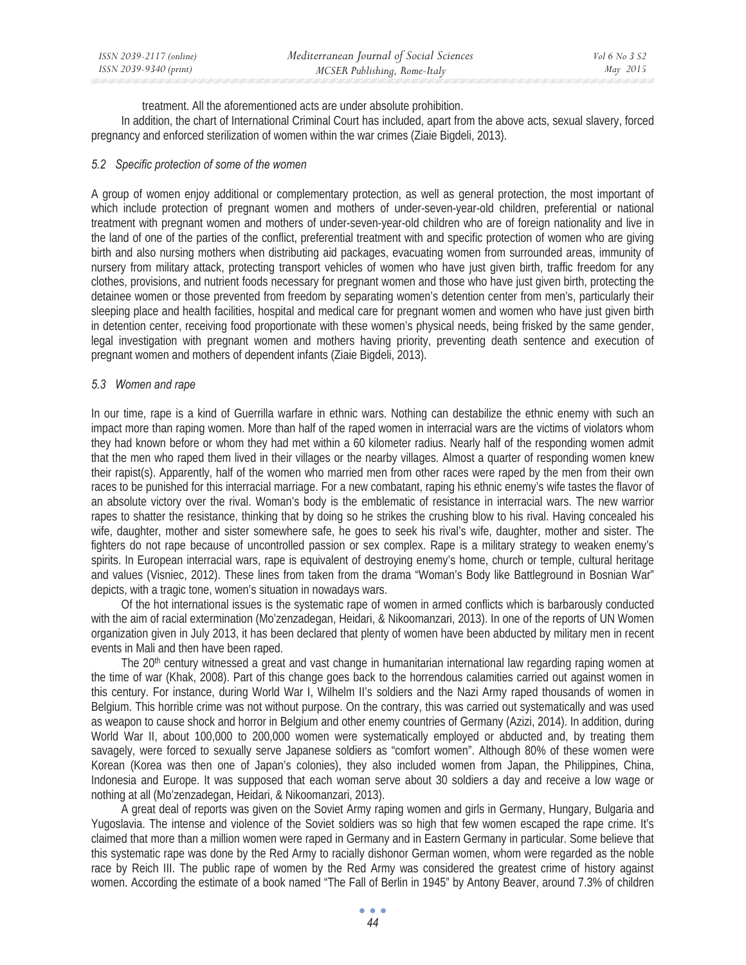| ISSN 2039-2117 (online) | Mediterranean Journal of Social Sciences | <i>Vol</i> 6 <i>No</i> 3 <i>S</i> 2 |
|-------------------------|------------------------------------------|-------------------------------------|
| ISSN 2039-9340 (print)  | MCSER Publishing, Rome-Italy             | May 2015                            |

treatment. All the aforementioned acts are under absolute prohibition.

In addition, the chart of International Criminal Court has included, apart from the above acts, sexual slavery, forced pregnancy and enforced sterilization of women within the war crimes (Ziaie Bigdeli, 2013).

#### *5.2 Specific protection of some of the women*

A group of women enjoy additional or complementary protection, as well as general protection, the most important of which include protection of pregnant women and mothers of under-seven-year-old children, preferential or national treatment with pregnant women and mothers of under-seven-year-old children who are of foreign nationality and live in the land of one of the parties of the conflict, preferential treatment with and specific protection of women who are giving birth and also nursing mothers when distributing aid packages, evacuating women from surrounded areas, immunity of nursery from military attack, protecting transport vehicles of women who have just given birth, traffic freedom for any clothes, provisions, and nutrient foods necessary for pregnant women and those who have just given birth, protecting the detainee women or those prevented from freedom by separating women's detention center from men's, particularly their sleeping place and health facilities, hospital and medical care for pregnant women and women who have just given birth in detention center, receiving food proportionate with these women's physical needs, being frisked by the same gender, legal investigation with pregnant women and mothers having priority, preventing death sentence and execution of pregnant women and mothers of dependent infants (Ziaie Bigdeli, 2013).

#### *5.3 Women and rape*

In our time, rape is a kind of Guerrilla warfare in ethnic wars. Nothing can destabilize the ethnic enemy with such an impact more than raping women. More than half of the raped women in interracial wars are the victims of violators whom they had known before or whom they had met within a 60 kilometer radius. Nearly half of the responding women admit that the men who raped them lived in their villages or the nearby villages. Almost a quarter of responding women knew their rapist(s). Apparently, half of the women who married men from other races were raped by the men from their own races to be punished for this interracial marriage. For a new combatant, raping his ethnic enemy's wife tastes the flavor of an absolute victory over the rival. Woman's body is the emblematic of resistance in interracial wars. The new warrior rapes to shatter the resistance, thinking that by doing so he strikes the crushing blow to his rival. Having concealed his wife, daughter, mother and sister somewhere safe, he goes to seek his rival's wife, daughter, mother and sister. The fighters do not rape because of uncontrolled passion or sex complex. Rape is a military strategy to weaken enemy's spirits. In European interracial wars, rape is equivalent of destroying enemy's home, church or temple, cultural heritage and values (Visniec, 2012). These lines from taken from the drama "Woman's Body like Battleground in Bosnian War" depicts, with a tragic tone, women's situation in nowadays wars.

Of the hot international issues is the systematic rape of women in armed conflicts which is barbarously conducted with the aim of racial extermination (Mo'zenzadegan, Heidari, & Nikoomanzari, 2013). In one of the reports of UN Women organization given in July 2013, it has been declared that plenty of women have been abducted by military men in recent events in Mali and then have been raped.

The 20<sup>th</sup> century witnessed a great and vast change in humanitarian international law regarding raping women at the time of war (Khak, 2008). Part of this change goes back to the horrendous calamities carried out against women in this century. For instance, during World War I, Wilhelm II's soldiers and the Nazi Army raped thousands of women in Belgium. This horrible crime was not without purpose. On the contrary, this was carried out systematically and was used as weapon to cause shock and horror in Belgium and other enemy countries of Germany (Azizi, 2014). In addition, during World War II, about 100,000 to 200,000 women were systematically employed or abducted and, by treating them savagely, were forced to sexually serve Japanese soldiers as "comfort women". Although 80% of these women were Korean (Korea was then one of Japan's colonies), they also included women from Japan, the Philippines, China, Indonesia and Europe. It was supposed that each woman serve about 30 soldiers a day and receive a low wage or nothing at all (Mo'zenzadegan, Heidari, & Nikoomanzari, 2013).

A great deal of reports was given on the Soviet Army raping women and girls in Germany, Hungary, Bulgaria and Yugoslavia. The intense and violence of the Soviet soldiers was so high that few women escaped the rape crime. It's claimed that more than a million women were raped in Germany and in Eastern Germany in particular. Some believe that this systematic rape was done by the Red Army to racially dishonor German women, whom were regarded as the noble race by Reich III. The public rape of women by the Red Army was considered the greatest crime of history against women. According the estimate of a book named "The Fall of Berlin in 1945" by Antony Beaver, around 7.3% of children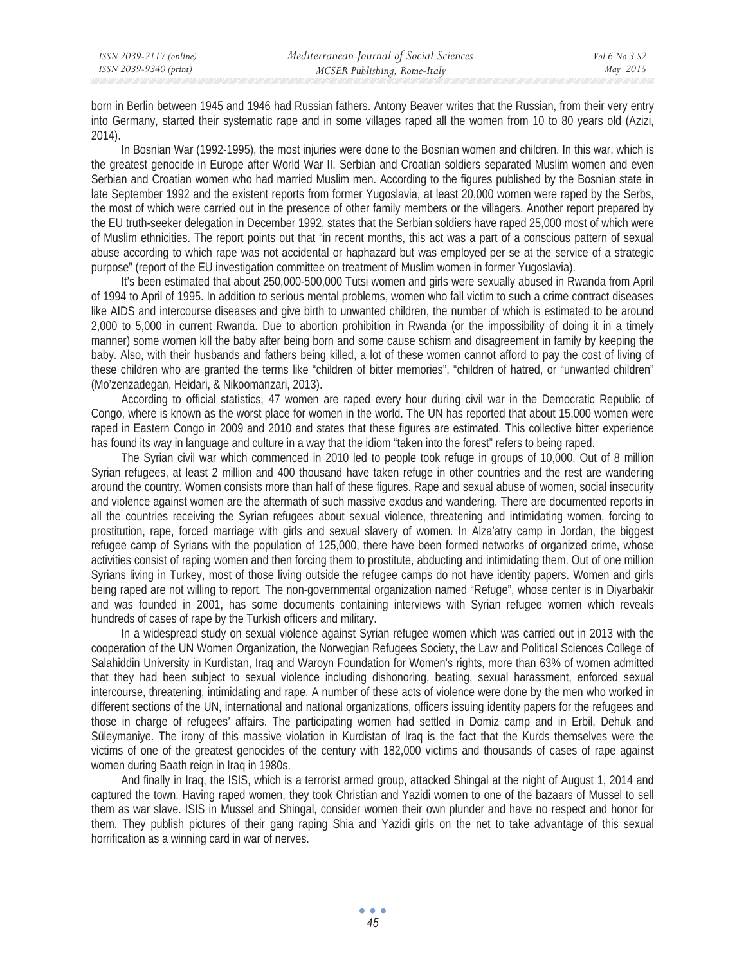born in Berlin between 1945 and 1946 had Russian fathers. Antony Beaver writes that the Russian, from their very entry into Germany, started their systematic rape and in some villages raped all the women from 10 to 80 years old (Azizi, 2014).

In Bosnian War (1992-1995), the most injuries were done to the Bosnian women and children. In this war, which is the greatest genocide in Europe after World War II, Serbian and Croatian soldiers separated Muslim women and even Serbian and Croatian women who had married Muslim men. According to the figures published by the Bosnian state in late September 1992 and the existent reports from former Yugoslavia, at least 20,000 women were raped by the Serbs, the most of which were carried out in the presence of other family members or the villagers. Another report prepared by the EU truth-seeker delegation in December 1992, states that the Serbian soldiers have raped 25,000 most of which were of Muslim ethnicities. The report points out that "in recent months, this act was a part of a conscious pattern of sexual abuse according to which rape was not accidental or haphazard but was employed per se at the service of a strategic purpose" (report of the EU investigation committee on treatment of Muslim women in former Yugoslavia).

It's been estimated that about 250,000-500,000 Tutsi women and girls were sexually abused in Rwanda from April of 1994 to April of 1995. In addition to serious mental problems, women who fall victim to such a crime contract diseases like AIDS and intercourse diseases and give birth to unwanted children, the number of which is estimated to be around 2,000 to 5,000 in current Rwanda. Due to abortion prohibition in Rwanda (or the impossibility of doing it in a timely manner) some women kill the baby after being born and some cause schism and disagreement in family by keeping the baby. Also, with their husbands and fathers being killed, a lot of these women cannot afford to pay the cost of living of these children who are granted the terms like "children of bitter memories", "children of hatred, or "unwanted children" (Mo'zenzadegan, Heidari, & Nikoomanzari, 2013).

According to official statistics, 47 women are raped every hour during civil war in the Democratic Republic of Congo, where is known as the worst place for women in the world. The UN has reported that about 15,000 women were raped in Eastern Congo in 2009 and 2010 and states that these figures are estimated. This collective bitter experience has found its way in language and culture in a way that the idiom "taken into the forest" refers to being raped.

The Syrian civil war which commenced in 2010 led to people took refuge in groups of 10,000. Out of 8 million Syrian refugees, at least 2 million and 400 thousand have taken refuge in other countries and the rest are wandering around the country. Women consists more than half of these figures. Rape and sexual abuse of women, social insecurity and violence against women are the aftermath of such massive exodus and wandering. There are documented reports in all the countries receiving the Syrian refugees about sexual violence, threatening and intimidating women, forcing to prostitution, rape, forced marriage with girls and sexual slavery of women. In Alza'atry camp in Jordan, the biggest refugee camp of Syrians with the population of 125,000, there have been formed networks of organized crime, whose activities consist of raping women and then forcing them to prostitute, abducting and intimidating them. Out of one million Syrians living in Turkey, most of those living outside the refugee camps do not have identity papers. Women and girls being raped are not willing to report. The non-governmental organization named "Refuge", whose center is in Diyarbakir and was founded in 2001, has some documents containing interviews with Syrian refugee women which reveals hundreds of cases of rape by the Turkish officers and military.

In a widespread study on sexual violence against Syrian refugee women which was carried out in 2013 with the cooperation of the UN Women Organization, the Norwegian Refugees Society, the Law and Political Sciences College of Salahiddin University in Kurdistan, Iraq and Waroyn Foundation for Women's rights, more than 63% of women admitted that they had been subject to sexual violence including dishonoring, beating, sexual harassment, enforced sexual intercourse, threatening, intimidating and rape. A number of these acts of violence were done by the men who worked in different sections of the UN, international and national organizations, officers issuing identity papers for the refugees and those in charge of refugees' affairs. The participating women had settled in Domiz camp and in Erbil, Dehuk and Süleymaniye. The irony of this massive violation in Kurdistan of Iraq is the fact that the Kurds themselves were the victims of one of the greatest genocides of the century with 182,000 victims and thousands of cases of rape against women during Baath reign in Iraq in 1980s.

And finally in Iraq, the ISIS, which is a terrorist armed group, attacked Shingal at the night of August 1, 2014 and captured the town. Having raped women, they took Christian and Yazidi women to one of the bazaars of Mussel to sell them as war slave. ISIS in Mussel and Shingal, consider women their own plunder and have no respect and honor for them. They publish pictures of their gang raping Shia and Yazidi girls on the net to take advantage of this sexual horrification as a winning card in war of nerves.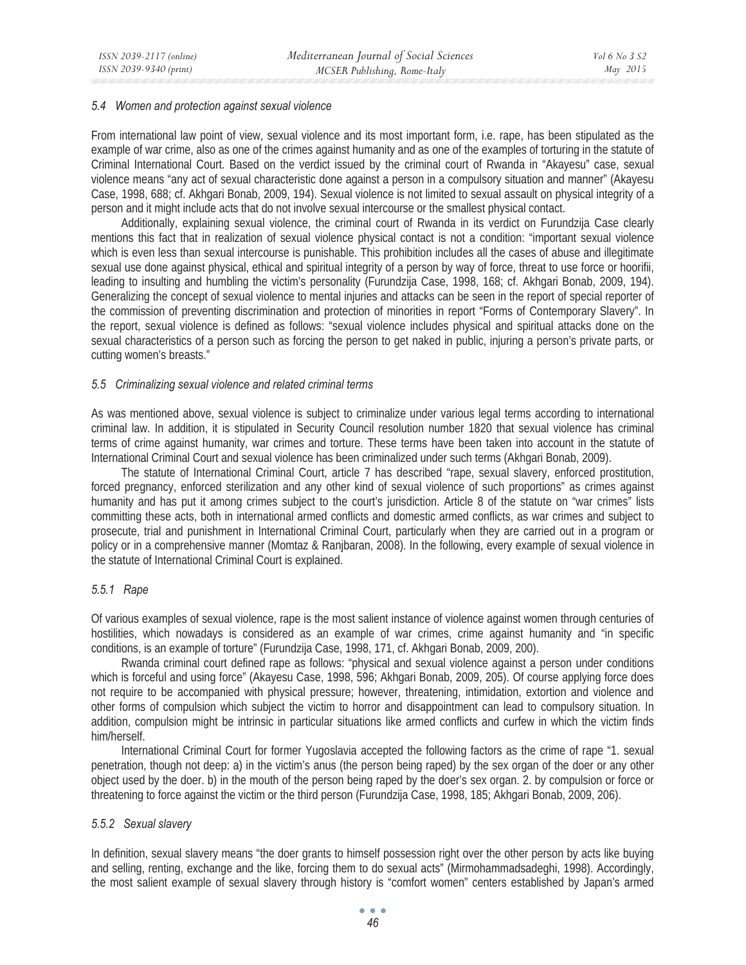#### *5.4 Women and protection against sexual violence*

From international law point of view, sexual violence and its most important form, i.e. rape, has been stipulated as the example of war crime, also as one of the crimes against humanity and as one of the examples of torturing in the statute of Criminal International Court. Based on the verdict issued by the criminal court of Rwanda in "Akayesu" case, sexual violence means "any act of sexual characteristic done against a person in a compulsory situation and manner" (Akayesu Case, 1998, 688; cf. Akhgari Bonab, 2009, 194). Sexual violence is not limited to sexual assault on physical integrity of a person and it might include acts that do not involve sexual intercourse or the smallest physical contact.

Additionally, explaining sexual violence, the criminal court of Rwanda in its verdict on Furundzija Case clearly mentions this fact that in realization of sexual violence physical contact is not a condition: "important sexual violence which is even less than sexual intercourse is punishable. This prohibition includes all the cases of abuse and illegitimate sexual use done against physical, ethical and spiritual integrity of a person by way of force, threat to use force or hoorifii, leading to insulting and humbling the victim's personality (Furundzija Case, 1998, 168; cf. Akhgari Bonab, 2009, 194). Generalizing the concept of sexual violence to mental injuries and attacks can be seen in the report of special reporter of the commission of preventing discrimination and protection of minorities in report "Forms of Contemporary Slavery". In the report, sexual violence is defined as follows: "sexual violence includes physical and spiritual attacks done on the sexual characteristics of a person such as forcing the person to get naked in public, injuring a person's private parts, or cutting women's breasts."

#### *5.5 Criminalizing sexual violence and related criminal terms*

As was mentioned above, sexual violence is subject to criminalize under various legal terms according to international criminal law. In addition, it is stipulated in Security Council resolution number 1820 that sexual violence has criminal terms of crime against humanity, war crimes and torture. These terms have been taken into account in the statute of International Criminal Court and sexual violence has been criminalized under such terms (Akhgari Bonab, 2009).

The statute of International Criminal Court, article 7 has described "rape, sexual slavery, enforced prostitution, forced pregnancy, enforced sterilization and any other kind of sexual violence of such proportions" as crimes against humanity and has put it among crimes subject to the court's jurisdiction. Article 8 of the statute on "war crimes" lists committing these acts, both in international armed conflicts and domestic armed conflicts, as war crimes and subject to prosecute, trial and punishment in International Criminal Court, particularly when they are carried out in a program or policy or in a comprehensive manner (Momtaz & Ranjbaran, 2008). In the following, every example of sexual violence in the statute of International Criminal Court is explained.

## *5.5.1 Rape*

Of various examples of sexual violence, rape is the most salient instance of violence against women through centuries of hostilities, which nowadays is considered as an example of war crimes, crime against humanity and "in specific conditions, is an example of torture" (Furundzija Case, 1998, 171, cf. Akhgari Bonab, 2009, 200).

Rwanda criminal court defined rape as follows: "physical and sexual violence against a person under conditions which is forceful and using force" (Akayesu Case, 1998, 596; Akhgari Bonab, 2009, 205). Of course applying force does not require to be accompanied with physical pressure; however, threatening, intimidation, extortion and violence and other forms of compulsion which subject the victim to horror and disappointment can lead to compulsory situation. In addition, compulsion might be intrinsic in particular situations like armed conflicts and curfew in which the victim finds him/herself.

International Criminal Court for former Yugoslavia accepted the following factors as the crime of rape "1. sexual penetration, though not deep: a) in the victim's anus (the person being raped) by the sex organ of the doer or any other object used by the doer. b) in the mouth of the person being raped by the doer's sex organ. 2. by compulsion or force or threatening to force against the victim or the third person (Furundzija Case, 1998, 185; Akhgari Bonab, 2009, 206).

## *5.5.2 Sexual slavery*

In definition, sexual slavery means "the doer grants to himself possession right over the other person by acts like buying and selling, renting, exchange and the like, forcing them to do sexual acts" (Mirmohammadsadeghi, 1998). Accordingly, the most salient example of sexual slavery through history is "comfort women" centers established by Japan's armed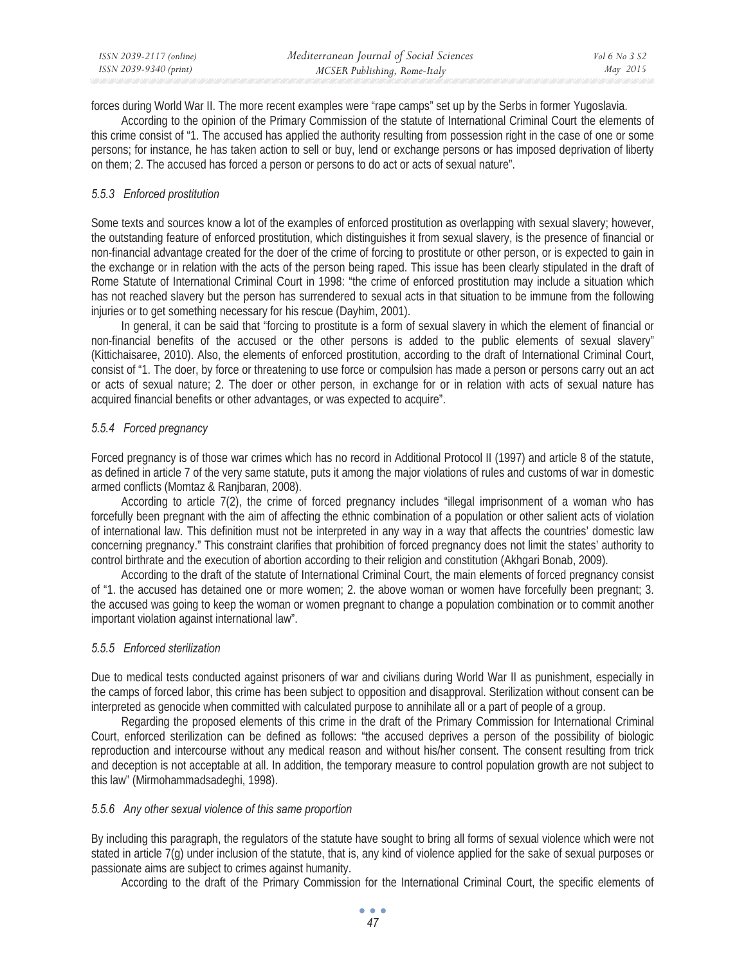forces during World War II. The more recent examples were "rape camps" set up by the Serbs in former Yugoslavia.

According to the opinion of the Primary Commission of the statute of International Criminal Court the elements of this crime consist of "1. The accused has applied the authority resulting from possession right in the case of one or some persons; for instance, he has taken action to sell or buy, lend or exchange persons or has imposed deprivation of liberty on them; 2. The accused has forced a person or persons to do act or acts of sexual nature".

# *5.5.3 Enforced prostitution*

Some texts and sources know a lot of the examples of enforced prostitution as overlapping with sexual slavery; however, the outstanding feature of enforced prostitution, which distinguishes it from sexual slavery, is the presence of financial or non-financial advantage created for the doer of the crime of forcing to prostitute or other person, or is expected to gain in the exchange or in relation with the acts of the person being raped. This issue has been clearly stipulated in the draft of Rome Statute of International Criminal Court in 1998: "the crime of enforced prostitution may include a situation which has not reached slavery but the person has surrendered to sexual acts in that situation to be immune from the following injuries or to get something necessary for his rescue (Dayhim, 2001).

In general, it can be said that "forcing to prostitute is a form of sexual slavery in which the element of financial or non-financial benefits of the accused or the other persons is added to the public elements of sexual slavery" (Kittichaisaree, 2010). Also, the elements of enforced prostitution, according to the draft of International Criminal Court, consist of "1. The doer, by force or threatening to use force or compulsion has made a person or persons carry out an act or acts of sexual nature; 2. The doer or other person, in exchange for or in relation with acts of sexual nature has acquired financial benefits or other advantages, or was expected to acquire".

# *5.5.4 Forced pregnancy*

Forced pregnancy is of those war crimes which has no record in Additional Protocol II (1997) and article 8 of the statute, as defined in article 7 of the very same statute, puts it among the major violations of rules and customs of war in domestic armed conflicts (Momtaz & Ranjbaran, 2008).

According to article 7(2), the crime of forced pregnancy includes "illegal imprisonment of a woman who has forcefully been pregnant with the aim of affecting the ethnic combination of a population or other salient acts of violation of international law. This definition must not be interpreted in any way in a way that affects the countries' domestic law concerning pregnancy." This constraint clarifies that prohibition of forced pregnancy does not limit the states' authority to control birthrate and the execution of abortion according to their religion and constitution (Akhgari Bonab, 2009).

According to the draft of the statute of International Criminal Court, the main elements of forced pregnancy consist of "1. the accused has detained one or more women; 2. the above woman or women have forcefully been pregnant; 3. the accused was going to keep the woman or women pregnant to change a population combination or to commit another important violation against international law".

## *5.5.5 Enforced sterilization*

Due to medical tests conducted against prisoners of war and civilians during World War II as punishment, especially in the camps of forced labor, this crime has been subject to opposition and disapproval. Sterilization without consent can be interpreted as genocide when committed with calculated purpose to annihilate all or a part of people of a group.

Regarding the proposed elements of this crime in the draft of the Primary Commission for International Criminal Court, enforced sterilization can be defined as follows: "the accused deprives a person of the possibility of biologic reproduction and intercourse without any medical reason and without his/her consent. The consent resulting from trick and deception is not acceptable at all. In addition, the temporary measure to control population growth are not subject to this law" (Mirmohammadsadeghi, 1998).

## *5.5.6 Any other sexual violence of this same proportion*

By including this paragraph, the regulators of the statute have sought to bring all forms of sexual violence which were not stated in article 7(g) under inclusion of the statute, that is, any kind of violence applied for the sake of sexual purposes or passionate aims are subject to crimes against humanity.

According to the draft of the Primary Commission for the International Criminal Court, the specific elements of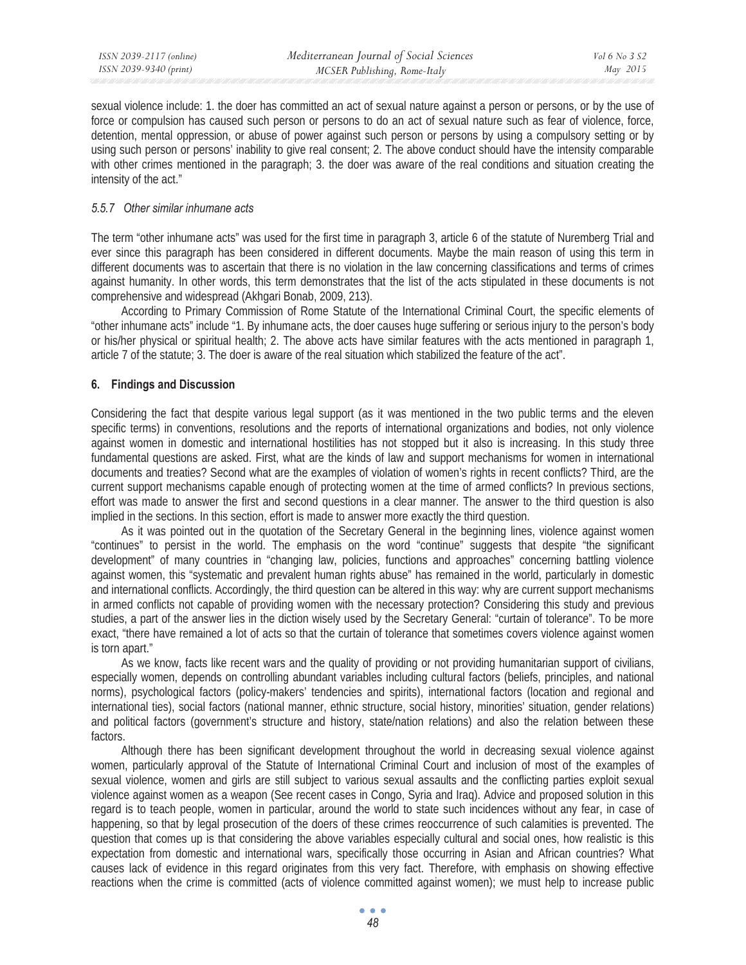sexual violence include: 1. the doer has committed an act of sexual nature against a person or persons, or by the use of force or compulsion has caused such person or persons to do an act of sexual nature such as fear of violence, force, detention, mental oppression, or abuse of power against such person or persons by using a compulsory setting or by using such person or persons' inability to give real consent; 2. The above conduct should have the intensity comparable with other crimes mentioned in the paragraph; 3. the doer was aware of the real conditions and situation creating the intensity of the act."

#### *5.5.7 Other similar inhumane acts*

The term "other inhumane acts" was used for the first time in paragraph 3, article 6 of the statute of Nuremberg Trial and ever since this paragraph has been considered in different documents. Maybe the main reason of using this term in different documents was to ascertain that there is no violation in the law concerning classifications and terms of crimes against humanity. In other words, this term demonstrates that the list of the acts stipulated in these documents is not comprehensive and widespread (Akhgari Bonab, 2009, 213).

According to Primary Commission of Rome Statute of the International Criminal Court, the specific elements of "other inhumane acts" include "1. By inhumane acts, the doer causes huge suffering or serious injury to the person's body or his/her physical or spiritual health; 2. The above acts have similar features with the acts mentioned in paragraph 1, article 7 of the statute; 3. The doer is aware of the real situation which stabilized the feature of the act".

#### **6. Findings and Discussion**

Considering the fact that despite various legal support (as it was mentioned in the two public terms and the eleven specific terms) in conventions, resolutions and the reports of international organizations and bodies, not only violence against women in domestic and international hostilities has not stopped but it also is increasing. In this study three fundamental questions are asked. First, what are the kinds of law and support mechanisms for women in international documents and treaties? Second what are the examples of violation of women's rights in recent conflicts? Third, are the current support mechanisms capable enough of protecting women at the time of armed conflicts? In previous sections, effort was made to answer the first and second questions in a clear manner. The answer to the third question is also implied in the sections. In this section, effort is made to answer more exactly the third question.

As it was pointed out in the quotation of the Secretary General in the beginning lines, violence against women "continues" to persist in the world. The emphasis on the word "continue" suggests that despite "the significant development" of many countries in "changing law, policies, functions and approaches" concerning battling violence against women, this "systematic and prevalent human rights abuse" has remained in the world, particularly in domestic and international conflicts. Accordingly, the third question can be altered in this way: why are current support mechanisms in armed conflicts not capable of providing women with the necessary protection? Considering this study and previous studies, a part of the answer lies in the diction wisely used by the Secretary General: "curtain of tolerance". To be more exact, "there have remained a lot of acts so that the curtain of tolerance that sometimes covers violence against women is torn apart."

As we know, facts like recent wars and the quality of providing or not providing humanitarian support of civilians, especially women, depends on controlling abundant variables including cultural factors (beliefs, principles, and national norms), psychological factors (policy-makers' tendencies and spirits), international factors (location and regional and international ties), social factors (national manner, ethnic structure, social history, minorities' situation, gender relations) and political factors (government's structure and history, state/nation relations) and also the relation between these factors.

Although there has been significant development throughout the world in decreasing sexual violence against women, particularly approval of the Statute of International Criminal Court and inclusion of most of the examples of sexual violence, women and girls are still subject to various sexual assaults and the conflicting parties exploit sexual violence against women as a weapon (See recent cases in Congo, Syria and Iraq). Advice and proposed solution in this regard is to teach people, women in particular, around the world to state such incidences without any fear, in case of happening, so that by legal prosecution of the doers of these crimes reoccurrence of such calamities is prevented. The question that comes up is that considering the above variables especially cultural and social ones, how realistic is this expectation from domestic and international wars, specifically those occurring in Asian and African countries? What causes lack of evidence in this regard originates from this very fact. Therefore, with emphasis on showing effective reactions when the crime is committed (acts of violence committed against women); we must help to increase public